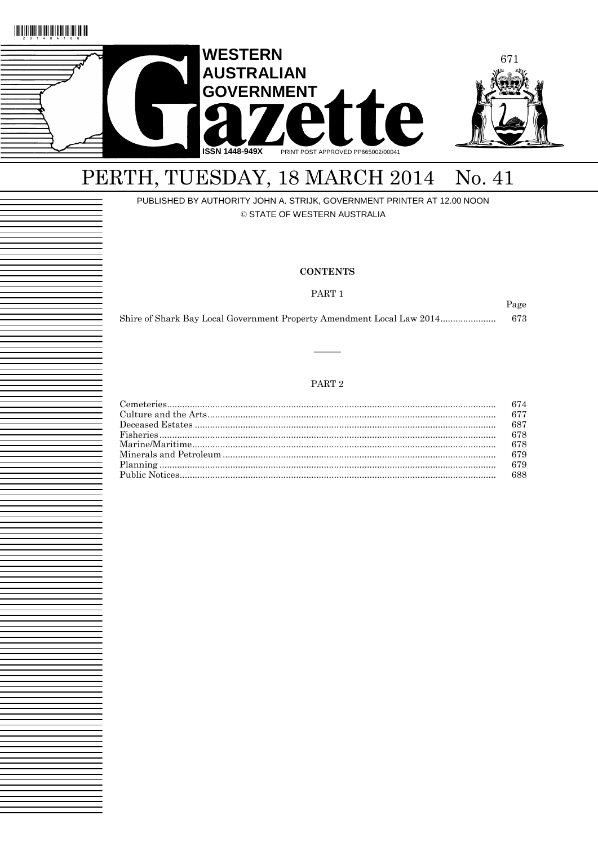



## PERTH, TUESDAY, 18 MARCH 2014 No. 41

### PUBLISHED BY AUTHORITY JOHN A. STRIJK, GOVERNMENT PRINTER AT 12.00 NOON

© STATE OF WESTERN AUSTRALIA

#### **CONTENTS**

PART<sub>1</sub>

Page

| Shire of Shark Bay Local Government Property Amendment Local Law 2014<br>673 |  |
|------------------------------------------------------------------------------|--|
|------------------------------------------------------------------------------|--|

#### PART $2$

| 674 |
|-----|
|     |
| 687 |
|     |
| 678 |
| 679 |
|     |
|     |
|     |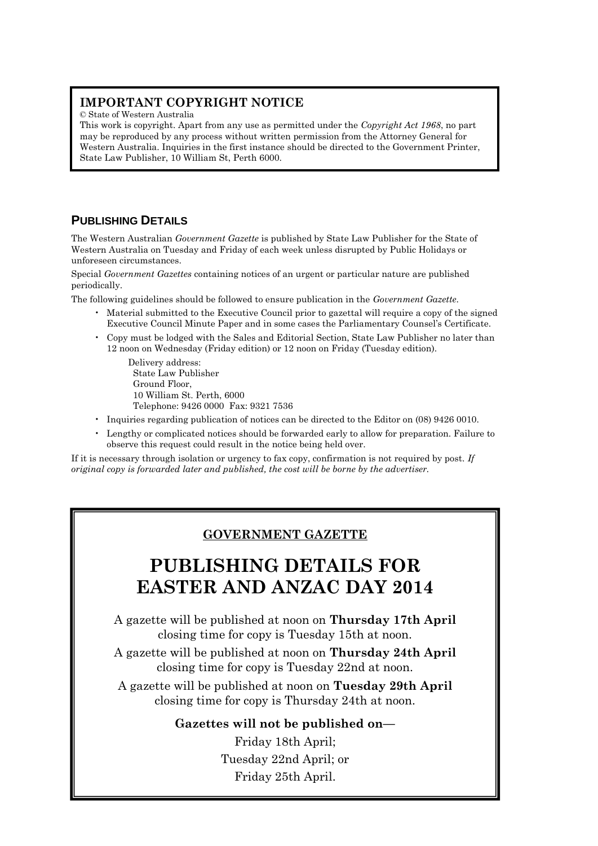## **IMPORTANT COPYRIGHT NOTICE**

© State of Western Australia

This work is copyright. Apart from any use as permitted under the *Copyright Act 1968*, no part may be reproduced by any process without written permission from the Attorney General for Western Australia. Inquiries in the first instance should be directed to the Government Printer, State Law Publisher, 10 William St, Perth 6000.

## **PUBLISHING DETAILS**

The Western Australian *Government Gazette* is published by State Law Publisher for the State of Western Australia on Tuesday and Friday of each week unless disrupted by Public Holidays or unforeseen circumstances.

Special *Government Gazettes* containing notices of an urgent or particular nature are published periodically.

The following guidelines should be followed to ensure publication in the *Government Gazette*.

- Material submitted to the Executive Council prior to gazettal will require a copy of the signed Executive Council Minute Paper and in some cases the Parliamentary Counsel's Certificate.
- Copy must be lodged with the Sales and Editorial Section, State Law Publisher no later than 12 noon on Wednesday (Friday edition) or 12 noon on Friday (Tuesday edition).

Delivery address: State Law Publisher Ground Floor, 10 William St. Perth, 6000 Telephone: 9426 0000 Fax: 9321 7536

- Inquiries regarding publication of notices can be directed to the Editor on (08) 9426 0010.
- Lengthy or complicated notices should be forwarded early to allow for preparation. Failure to observe this request could result in the notice being held over.

If it is necessary through isolation or urgency to fax copy, confirmation is not required by post. *If original copy is forwarded later and published, the cost will be borne by the advertiser.*

## **GOVERNMENT GAZETTE**

## **PUBLISHING DETAILS FOR EASTER AND ANZAC DAY 2014**

A gazette will be published at noon on **Thursday 17th April** closing time for copy is Tuesday 15th at noon.

A gazette will be published at noon on **Thursday 24th April** closing time for copy is Tuesday 22nd at noon.

A gazette will be published at noon on **Tuesday 29th April** closing time for copy is Thursday 24th at noon.

### **Gazettes will not be published on—**

Friday 18th April; Tuesday 22nd April; or Friday 25th April.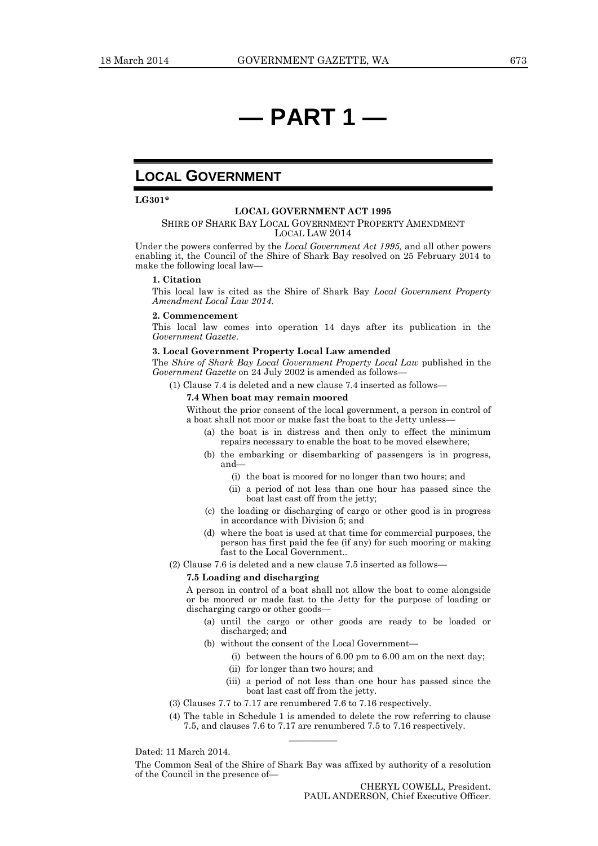## **— PART 1 —**

### **LOCAL GOVERNMENT**

**LG301\***

#### **LOCAL GOVERNMENT ACT 1995**

#### SHIRE OF SHARK BAY LOCAL GOVERNMENT PROPERTY AMENDMENT LOCAL LAW 2014

Under the powers conferred by the *Local Government Act 1995,* and all other powers enabling it, the Council of the Shire of Shark Bay resolved on 25 February 2014 to make the following local law—

#### **1. Citation**

This local law is cited as the Shire of Shark Bay *Local Government Property Amendment Local Law 2014*.

#### **2. Commencement**

This local law comes into operation 14 days after its publication in the *Government Gazette*.

#### **3. Local Government Property Local Law amended**

The *Shire of Shark Bay Local Government Property Local Law* published in the *Government Gazette* on 24 July 2002 is amended as follows—

(1) Clause 7.4 is deleted and a new clause 7.4 inserted as follows—

#### **7.4 When boat may remain moored**

Without the prior consent of the local government, a person in control of a boat shall not moor or make fast the boat to the Jetty unless—

- (a) the boat is in distress and then only to effect the minimum repairs necessary to enable the boat to be moved elsewhere;
- (b) the embarking or disembarking of passengers is in progress, and—
	- (i) the boat is moored for no longer than two hours; and
	- (ii) a period of not less than one hour has passed since the boat last cast off from the jetty;
- (c) the loading or discharging of cargo or other good is in progress in accordance with Division 5; and
- (d) where the boat is used at that time for commercial purposes, the person has first paid the fee (if any) for such mooring or making fast to the Local Government..
- (2) Clause 7.6 is deleted and a new clause 7.5 inserted as follows—

#### **7.5 Loading and discharging**

A person in control of a boat shall not allow the boat to come alongside or be moored or made fast to the Jetty for the purpose of loading or discharging cargo or other goods—

- (a) until the cargo or other goods are ready to be loaded or discharged; and
- (b) without the consent of the Local Government—
	- (i) between the hours of 6.00 pm to 6.00 am on the next day;
	- (ii) for longer than two hours; and
	- (iii) a period of not less than one hour has passed since the boat last cast off from the jetty.
- (3) Clauses 7.7 to 7.17 are renumbered 7.6 to 7.16 respectively.
- (4) The table in Schedule 1 is amended to delete the row referring to clause 7.5, and clauses 7.6 to 7.17 are renumbered 7.5 to 7.16 respectively.

Dated: 11 March 2014.

The Common Seal of the Shire of Shark Bay was affixed by authority of a resolution of the Council in the presence of—

————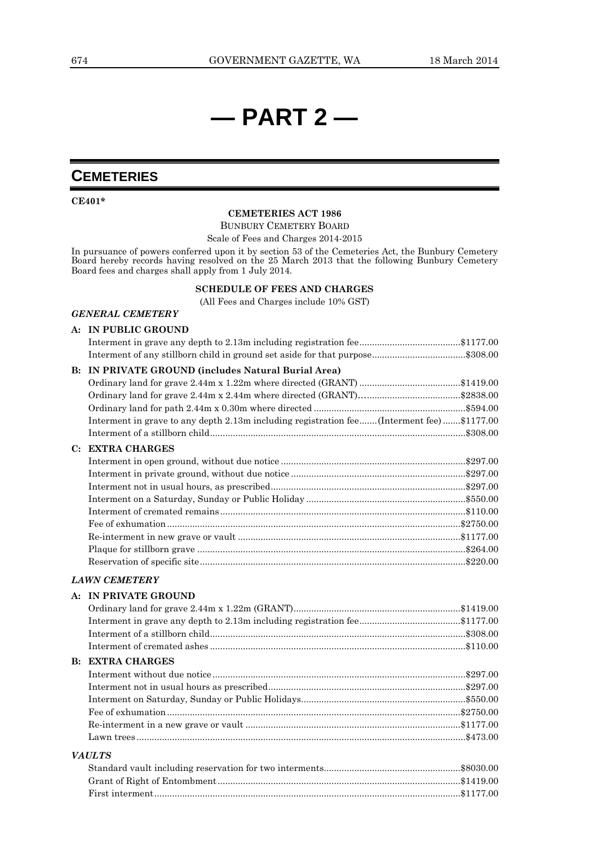## **— PART 2 —**

## **CEMETERIES**

**CE401\***

#### **CEMETERIES ACT 1986**

BUNBURY CEMETERY BOARD

Scale of Fees and Charges 2014-2015

In pursuance of powers conferred upon it by section 53 of the Cemeteries Act, the Bunbury Cemetery Board hereby records having resolved on the 25 March 2013 that the following Bunbury Cemetery Board fees and charges shall apply from 1 July 2014.

#### **SCHEDULE OF FEES AND CHARGES**

(All Fees and Charges include 10% GST)

#### *GENERAL CEMETERY*

#### **A: IN PUBLIC GROUND**

|    | Interment of any stillborn child in ground set aside for that purpose\$308.00              |  |
|----|--------------------------------------------------------------------------------------------|--|
| B: | IN PRIVATE GROUND (includes Natural Burial Area)                                           |  |
|    |                                                                                            |  |
|    |                                                                                            |  |
|    |                                                                                            |  |
|    | Interment in grave to any depth 2.13m including registration fee (Interment fee) \$1177.00 |  |
|    |                                                                                            |  |
| C: | <b>EXTRA CHARGES</b>                                                                       |  |
|    |                                                                                            |  |
|    |                                                                                            |  |
|    |                                                                                            |  |
|    |                                                                                            |  |
|    |                                                                                            |  |
|    |                                                                                            |  |
|    |                                                                                            |  |
|    |                                                                                            |  |
|    |                                                                                            |  |
|    | <b>LAWN CEMETERY</b>                                                                       |  |
|    | A: IN PRIVATE GROUND                                                                       |  |
|    |                                                                                            |  |
|    |                                                                                            |  |
|    |                                                                                            |  |
|    |                                                                                            |  |
|    | <b>B: EXTRA CHARGES</b>                                                                    |  |
|    |                                                                                            |  |
|    |                                                                                            |  |

## Interment not in usual hours as prescribed..............................................................................\$297.00 Interment on Saturday, Sunday or Public Holidays.................................................................\$550.00 Fee of exhumation....................................................................................................................\$2750.00 Re-interment in a new grave or vault .....................................................................................\$1177.00 Lawn trees ..................................................................................................................................\$473.00 *VAULTS*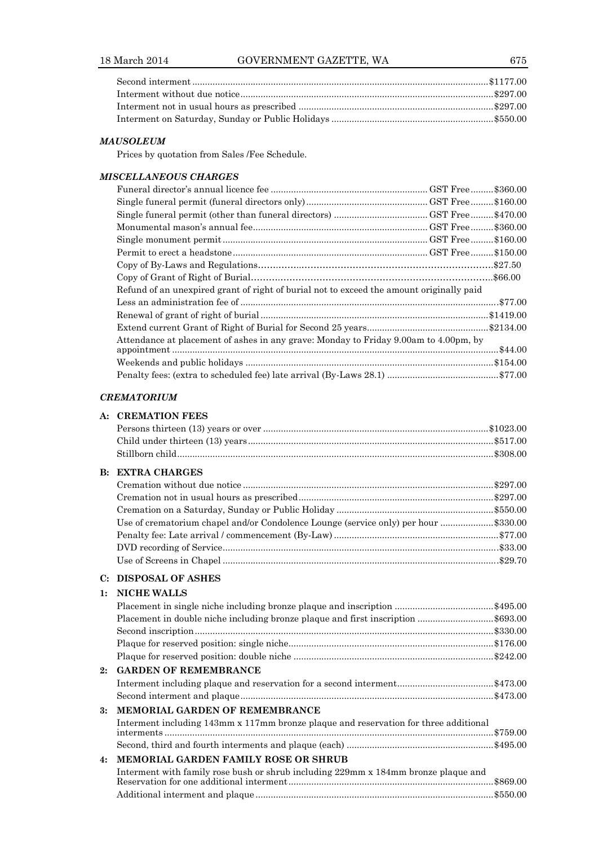#### *MAUSOLEUM*

Prices by quotation from Sales /Fee Schedule.

#### *MISCELLANEOUS CHARGES*

| Refund of an unexpired grant of right of burial not to exceed the amount originally paid |          |
|------------------------------------------------------------------------------------------|----------|
|                                                                                          |          |
|                                                                                          |          |
|                                                                                          |          |
| Attendance at placement of ashes in any grave: Monday to Friday 9.00am to 4.00pm, by     | .\$44.00 |
|                                                                                          |          |
|                                                                                          |          |
|                                                                                          |          |

#### *CREMATORIUM*

#### **A: CREMATION FEES**

| <b>B: EXTRA CHARGES</b>                                                             |  |
|-------------------------------------------------------------------------------------|--|
|                                                                                     |  |
|                                                                                     |  |
|                                                                                     |  |
| Use of crematorium chapel and/or Condolence Lounge (service only) per hour \$330.00 |  |
|                                                                                     |  |
|                                                                                     |  |
|                                                                                     |  |

#### **C: DISPOSAL OF ASHES**

#### **1: NICHE WALLS**

|    | Placement in single niche including bronze plaque and inscription \$495.00           |           |
|----|--------------------------------------------------------------------------------------|-----------|
|    | Placement in double niche including bronze plaque and first inscription \$693.00     |           |
|    |                                                                                      |           |
|    |                                                                                      |           |
|    |                                                                                      |           |
| 2: | <b>GARDEN OF REMEMBRANCE</b>                                                         |           |
|    |                                                                                      |           |
|    |                                                                                      |           |
| 3: | <b>MEMORIAL GARDEN OF REMEMBRANCE</b>                                                |           |
|    | Interment including 143mm x 117mm bronze plaque and reservation for three additional |           |
|    |                                                                                      |           |
| 4: | MEMORIAL GARDEN FAMILY ROSE OR SHRUB                                                 |           |
|    | Interment with family rose bush or shrub including 229mm x 184mm bronze plaque and   | .\$869.00 |
|    |                                                                                      |           |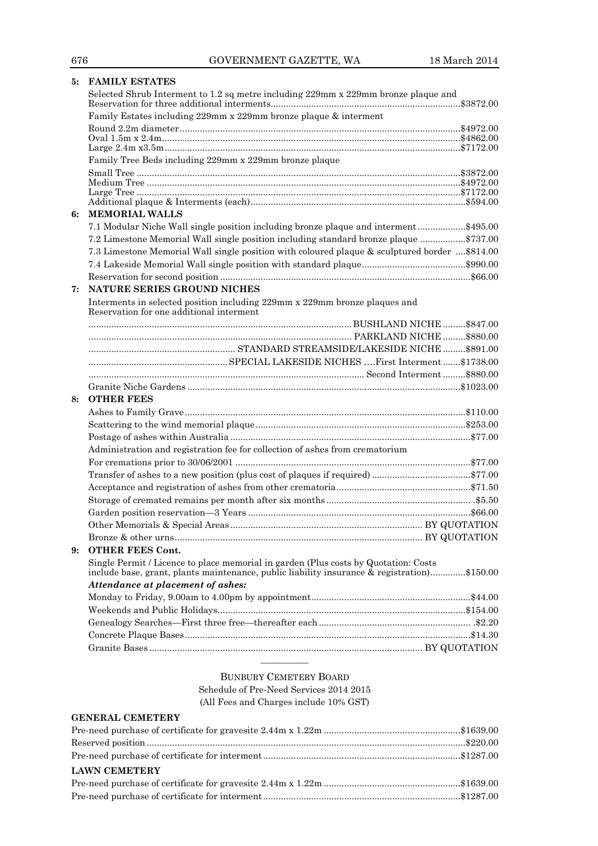|    | 5: FAMILY ESTATES                                                                                                                |  |
|----|----------------------------------------------------------------------------------------------------------------------------------|--|
|    | Selected Shrub Interment to 1.2 sq metre including 229mm x 229mm bronze plaque and                                               |  |
|    | Family Estates including 229mm x 229mm bronze plaque & interment                                                                 |  |
|    |                                                                                                                                  |  |
|    |                                                                                                                                  |  |
|    | Family Tree Beds including 229mm x 229mm bronze plaque                                                                           |  |
|    |                                                                                                                                  |  |
|    |                                                                                                                                  |  |
|    |                                                                                                                                  |  |
|    |                                                                                                                                  |  |
| 6: | <b>MEMORIAL WALLS</b>                                                                                                            |  |
|    | 7.1 Modular Niche Wall single position including bronze plaque and interment\$495.00                                             |  |
|    | 7.2 Limestone Memorial Wall single position including standard bronze plaque \$737.00                                            |  |
|    | 7.3 Limestone Memorial Wall single position with coloured plaque & sculptured border  \$814.00                                   |  |
|    |                                                                                                                                  |  |
|    |                                                                                                                                  |  |
| 7: | NATURE SERIES GROUND NICHES                                                                                                      |  |
|    | Interments in selected position including 229mm x 229mm bronze plaques and<br>Reservation for one additional interment           |  |
|    |                                                                                                                                  |  |
|    |                                                                                                                                  |  |
|    |                                                                                                                                  |  |
|    |                                                                                                                                  |  |
|    |                                                                                                                                  |  |
|    |                                                                                                                                  |  |
| 8: | <b>OTHER FEES</b>                                                                                                                |  |
|    |                                                                                                                                  |  |
|    |                                                                                                                                  |  |
|    |                                                                                                                                  |  |
|    |                                                                                                                                  |  |
|    |                                                                                                                                  |  |
|    | Administration and registration fee for collection of ashes from crematorium                                                     |  |
|    |                                                                                                                                  |  |
|    |                                                                                                                                  |  |
|    |                                                                                                                                  |  |
|    |                                                                                                                                  |  |
|    |                                                                                                                                  |  |
|    |                                                                                                                                  |  |
|    |                                                                                                                                  |  |
| 9: | <b>OTHER FEES Cont.</b><br>Single Permit / Licence to place memorial in garden (Plus costs by Quotation: Costs                   |  |
|    | include base, grant, plants maintenance, public liability insurance & registration)\$150.00<br>Attendance at placement of ashes: |  |
|    |                                                                                                                                  |  |
|    |                                                                                                                                  |  |
|    |                                                                                                                                  |  |
|    |                                                                                                                                  |  |
|    |                                                                                                                                  |  |

#### BUNBURY CEMETERY BOARD Schedule of Pre-Need Services 2014 2015 (All Fees and Charges include 10% GST)

#### **GENERAL CEMETERY**

| <b>LAWN CEMETERY</b> |  |
|----------------------|--|
|                      |  |
|                      |  |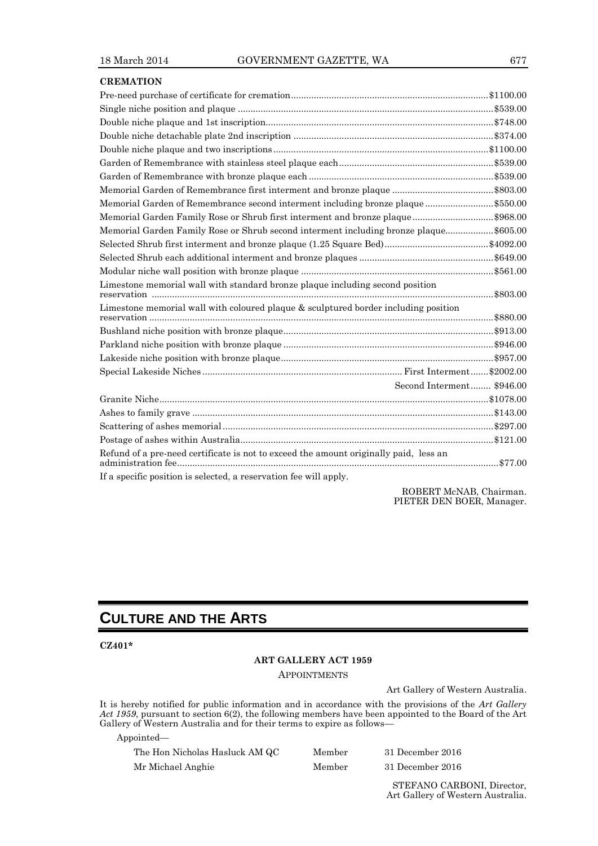| <b>CREMATION</b>                                                                      |  |
|---------------------------------------------------------------------------------------|--|
|                                                                                       |  |
|                                                                                       |  |
|                                                                                       |  |
|                                                                                       |  |
|                                                                                       |  |
|                                                                                       |  |
|                                                                                       |  |
|                                                                                       |  |
| Memorial Garden of Remembrance second interment including bronze plaque\$550.00       |  |
| Memorial Garden Family Rose or Shrub first interment and bronze plaque\$968.00        |  |
| Memorial Garden Family Rose or Shrub second interment including bronze plaque\$605.00 |  |
|                                                                                       |  |
|                                                                                       |  |
|                                                                                       |  |
| Limestone memorial wall with standard bronze plaque including second position         |  |
| Limestone memorial wall with coloured plaque & sculptured border including position   |  |
|                                                                                       |  |
|                                                                                       |  |
|                                                                                       |  |
|                                                                                       |  |
| Second Interment \$946.00                                                             |  |
|                                                                                       |  |
|                                                                                       |  |
|                                                                                       |  |
|                                                                                       |  |
| Refund of a pre-need certificate is not to exceed the amount originally paid, less an |  |
| If a specific position is selected, a reservation fee will apply.                     |  |

ROBERT McNAB, Chairman. PIETER DEN BOER, Manager.

## **CULTURE AND THE ARTS**

**CZ401\***

#### **ART GALLERY ACT 1959**

**APPOINTMENTS** 

Art Gallery of Western Australia.

It is hereby notified for public information and in accordance with the provisions of the *Art Gallery Act 1959*, pursuant to section 6(2), the following members have been appointed to the Board of the Art Gallery of Western Australia and for their terms to expire as follows—

| Appointed—                     |        |                  |  |
|--------------------------------|--------|------------------|--|
| The Hon Nicholas Hasluck AM QC | Member | 31 December 2016 |  |
| Mr Michael Anghie              | Member | 31 December 2016 |  |

STEFANO CARBONI, Director, Art Gallery of Western Australia.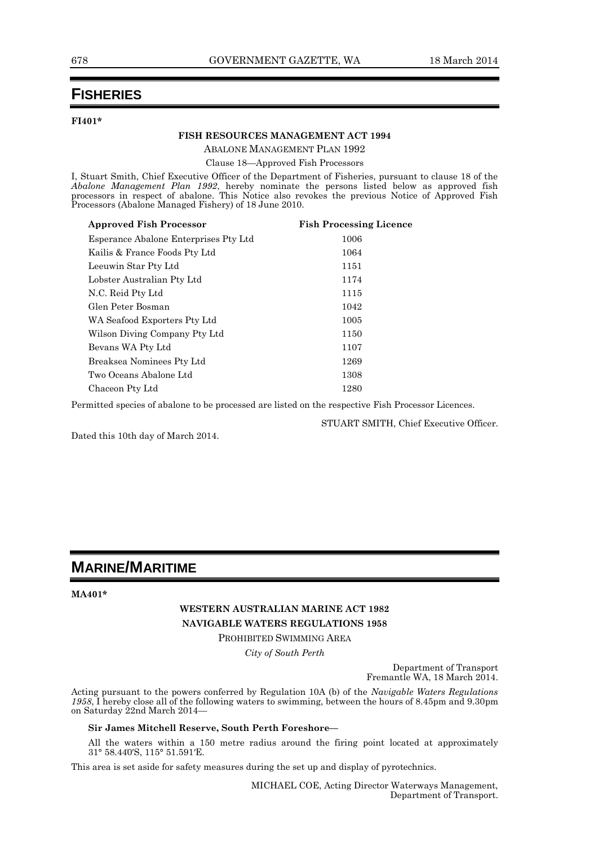## **FISHERIES**

#### **FI401\***

#### **FISH RESOURCES MANAGEMENT ACT 1994**

ABALONE MANAGEMENT PLAN 1992

Clause 18—Approved Fish Processors

I, Stuart Smith, Chief Executive Officer of the Department of Fisheries, pursuant to clause 18 of the *Abalone Management Plan 1992*, hereby nominate the persons listed below as approved fish processors in respect of abalone. This Notice also revokes the previous Notice of Approved Fish Processors (Abalone Managed Fishery) of 18 June 2010.

| <b>Approved Fish Processor</b>        | <b>Fish Processing Licence</b> |
|---------------------------------------|--------------------------------|
| Esperance Abalone Enterprises Pty Ltd | 1006                           |
| Kailis & France Foods Pty Ltd         | 1064                           |
| Leeuwin Star Pty Ltd                  | 1151                           |
| Lobster Australian Pty Ltd            | 1174                           |
| N.C. Reid Pty Ltd                     | 1115                           |
| Glen Peter Bosman                     | 1042                           |
| WA Seafood Exporters Pty Ltd          | 1005                           |
| Wilson Diving Company Pty Ltd         | 1150                           |
| Bevans WA Pty Ltd                     | 1107                           |
| Breaksea Nominees Pty Ltd             | 1269                           |
| Two Oceans Abalone Ltd                | 1308                           |
| Chaceon Pty Ltd                       | 1280                           |
|                                       |                                |

Permitted species of abalone to be processed are listed on the respective Fish Processor Licences.

STUART SMITH, Chief Executive Officer.

Dated this 10th day of March 2014.

## **MARINE/MARITIME**

**MA401\***

#### **WESTERN AUSTRALIAN MARINE ACT 1982 NAVIGABLE WATERS REGULATIONS 1958**

PROHIBITED SWIMMING AREA

*City of South Perth*

Department of Transport Fremantle WA, 18 March 2014.

Acting pursuant to the powers conferred by Regulation 10A (b) of the *Navigable Waters Regulations 1958*, I hereby close all of the following waters to swimming, between the hours of 8.45pm and 9.30pm on Saturday 22nd March 2014—

#### **Sir James Mitchell Reserve, South Perth Foreshore—**

All the waters within a 150 metre radius around the firing point located at approximately 31° 58.44 0′S, 115° 51.591′E.

This area is set aside for safety measures during the set up and display of pyrotechnics.

MICHAEL COE, Acting Director Waterways Management, Department of Transport.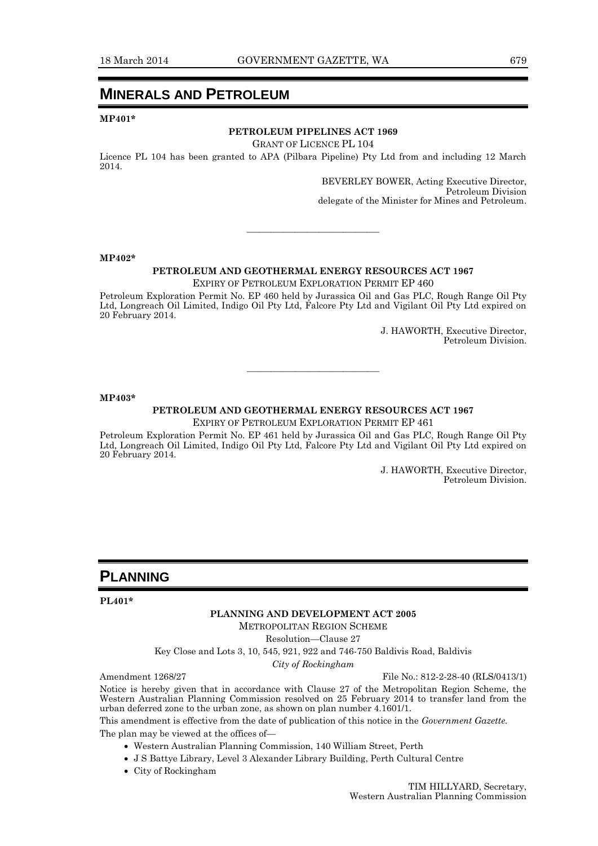## **MINERALS AND PETROLEUM**

**MP401\***

#### **PETROLEUM PIPELINES ACT 1969**

GRANT OF LICENCE PL 104

Licence PL 104 has been granted to APA (Pilbara Pipeline) Pty Ltd from and including 12 March 2014.

> BEVERLEY BOWER, Acting Executive Director, Petroleum Division delegate of the Minister for Mines and Petroleum.

#### **MP402\***

#### **PETROLEUM AND GEOTHERMAL ENERGY RESOURCES ACT 1967**

———————————

EXPIRY OF PETROLEUM EXPLORATION PERMIT EP 460

Petroleum Exploration Permit No. EP 460 held by Jurassica Oil and Gas PLC, Rough Range Oil Pty Ltd, Longreach Oil Limited, Indigo Oil Pty Ltd, Falcore Pty Ltd and Vigilant Oil Pty Ltd expired on 20 February 2014.

> J. HAWORTH, Executive Director, Petroleum Division.

#### **MP403\***

#### **PETROLEUM AND GEOTHERMAL ENERGY RESOURCES ACT 1967**

———————————

EXPIRY OF PETROLEUM EXPLORATION PERMIT EP 461

Petroleum Exploration Permit No. EP 461 held by Jurassica Oil and Gas PLC, Rough Range Oil Pty Ltd, Longreach Oil Limited, Indigo Oil Pty Ltd, Falcore Pty Ltd and Vigilant Oil Pty Ltd expired on 20 February 2014.

> J. HAWORTH, Executive Director, Petroleum Division.

### **PLANNING**

#### **PL401\***

#### **PLANNING AND DEVELOPMENT ACT 2005**

METROPOLITAN REGION SCHEME

Resolution—Clause 27

Key Close and Lots 3, 10, 545, 921, 922 and 746-750 Baldivis Road, Baldivis

*City of Rockingham*

Amendment 1268/27 File No.: 812-2-28-40 (RLS/0413/1)

Notice is hereby given that in accordance with Clause 27 of the Metropolitan Region Scheme, the Western Australian Planning Commission resolved on 25 February 2014 to transfer land from the urban deferred zone to the urban zone, as shown on plan number 4.1601/1.

This amendment is effective from the date of publication of this notice in the *Government Gazette.*

The plan may be viewed at the offices of-

- Western Australian Planning Commission, 140 William Street, Perth
- J S Battye Library, Level 3 Alexander Library Building, Perth Cultural Centre
- City of Rockingham

TIM HILLYARD, Secretary, Western Australian Planning Commission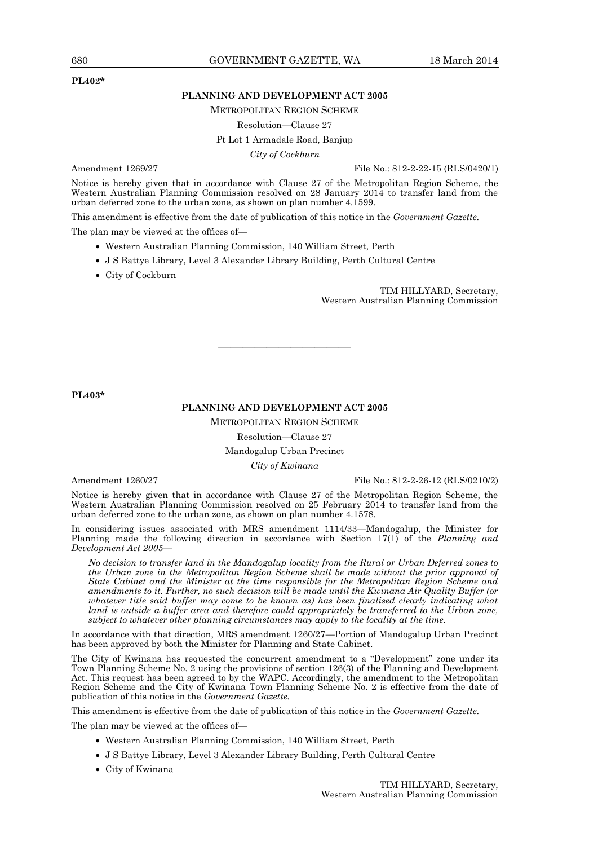#### **PL402\***

#### **PLANNING AND DEVELOPMENT ACT 2005**

METROPOLITAN REGION SCHEME

#### Resolution—Clause 27

Pt Lot 1 Armadale Road, Banjup

*City of Cockburn*

Amendment 1269/27 File No.: 812-2-22-15 (RLS/0420/1)

Notice is hereby given that in accordance with Clause 27 of the Metropolitan Region Scheme, the Western Australian Planning Commission resolved on 28 January 2014 to transfer land from the urban deferred zone to the urban zone, as shown on plan number 4.1599.

This amendment is effective from the date of publication of this notice in the *Government Gazette.*

The plan may be viewed at the offices of—

- Western Australian Planning Commission, 140 William Street, Perth
- J S Battye Library, Level 3 Alexander Library Building, Perth Cultural Centre
- City of Cockburn

TIM HILLYARD, Secretary, Western Australian Planning Commission

**PL403\***

#### **PLANNING AND DEVELOPMENT ACT 2005**

———————————

METROPOLITAN REGION SCHEME

Resolution—Clause 27

#### Mandogalup Urban Precinct

*City of Kwinana*

Amendment 1260/27 File No.: 812-2-26-12 (RLS/0210/2)

Notice is hereby given that in accordance with Clause 27 of the Metropolitan Region Scheme, the Western Australian Planning Commission resolved on 25 February 2014 to transfer land from the urban deferred zone to the urban zone, as shown on plan number 4.1578.

In considering issues associated with MRS amendment 1114/33—Mandogalup, the Minister for Planning made the following direction in accordance with Section 17(1) of the *Planning and Development Act 2005*—

*No decision to transfer land in the Mandogalup locality from the Rural or Urban Deferred zones to the Urban zone in the Metropolitan Region Scheme shall be made without the prior approval of State Cabinet and the Minister at the time responsible for the Metropolitan Region Scheme and amendments to it. Further, no such decision will be made until the Kwinana Air Quality Buffer (or whatever title said buffer may come to be known as) has been finalised clearly indicating what land is outside a buffer area and therefore could appropriately be transferred to the Urban zone, subject to whatever other planning circumstances may apply to the locality at the time.*

In accordance with that direction, MRS amendment 1260/27—Portion of Mandogalup Urban Precinct has been approved by both the Minister for Planning and State Cabinet.

The City of Kwinana has requested the concurrent amendment to a "Development" zone under its Town Planning Scheme No. 2 using the provisions of section 126(3) of the Planning and Development Act. This request has been agreed to by the WAPC. Accordingly, the amendment to the Metropolitan Region Scheme and the City of Kwinana Town Planning Scheme No. 2 is effective from the date of publication of this notice in the *Government Gazette.*

This amendment is effective from the date of publication of this notice in the *Government Gazette.*

The plan may be viewed at the offices of—

- Western Australian Planning Commission, 140 William Street, Perth
- J S Battye Library, Level 3 Alexander Library Building, Perth Cultural Centre
- City of Kwinana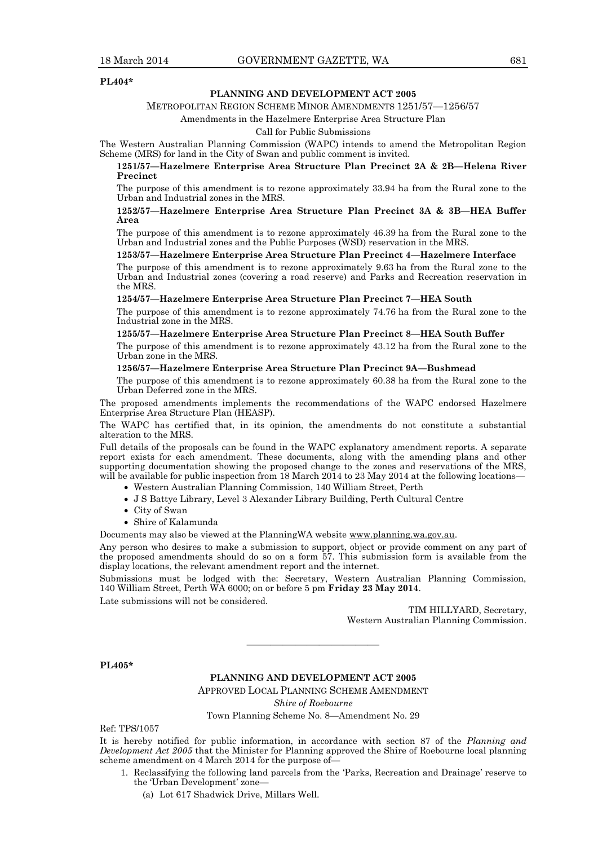#### **PL404\***

#### **PLANNING AND DEVELOPMENT ACT 2005**

#### METROPOLITAN REGION SCHEME MINOR AMENDMENTS 1251/57—1256/57

#### Amendments in the Hazelmere Enterprise Area Structure Plan

#### Call for Public Submissions

The Western Australian Planning Commission (WAPC) intends to amend the Metropolitan Region Scheme (MRS) for land in the City of Swan and public comment is invited.

#### **1251/57—Hazelmere Enterprise Area Structure Plan Precinct 2A & 2B—Helena River Precinct**

The purpose of this amendment is to rezone approximately 33.94 ha from the Rural zone to the Urban and Industrial zones in the MRS.

#### **1252/57—Hazelmere Enterprise Area Structure Plan Precinct 3A & 3B—HEA Buffer Area**

The purpose of this amendment is to rezone approximately 46.39 ha from the Rural zone to the Urban and Industrial zones and the Public Purposes (WSD) reservation in the MRS.

#### **1253/57—Hazelmere Enterprise Area Structure Plan Precinct 4—Hazelmere Interface**

The purpose of this amendment is to rezone approximately 9.63 ha from the Rural zone to the Urban and Industrial zones (covering a road reserve) and Parks and Recreation reservation in the MRS.

#### **1254/57—Hazelmere Enterprise Area Structure Plan Precinct 7—HEA South**

The purpose of this amendment is to rezone approximately 74.76 ha from the Rural zone to the Industrial zone in the MRS.

#### **1255/57—Hazelmere Enterprise Area Structure Plan Precinct 8—HEA South Buffer**

The purpose of this amendment is to rezone approximately 43.12 ha from the Rural zone to the Urban zone in the MRS.

#### **1256/57—Hazelmere Enterprise Area Structure Plan Precinct 9A—Bushmead**

The purpose of this amendment is to rezone approximately 60.38 ha from the Rural zone to the Urban Deferred zone in the MRS.

The proposed amendments implements the recommendations of the WAPC endorsed Hazelmere Enterprise Area Structure Plan (HEASP).

The WAPC has certified that, in its opinion, the amendments do not constitute a substantial alteration to the MRS.

Full details of the proposals can be found in the WAPC explanatory amendment reports. A separate report exists for each amendment. These documents, along with the amending plans and other supporting documentation showing the proposed change to the zones and reservations of the MRS, will be available for public inspection from 18 March 2014 to 23 May 2014 at the following locations-

- Western Australian Planning Commission, 140 William Street, Perth
- J S Battye Library, Level 3 Alexander Library Building, Perth Cultural Centre
- City of Swan
- Shire of Kalamunda

Documents may also be viewed at the PlanningWA website www.planning.wa.gov.au.

Any person who desires to make a submission to support, object or provide comment on any part of the proposed amendments should do so on a form 57. This submission form is available from the display locations, the relevant amendment report and the internet.

Submissions must be lodged with the: Secretary, Western Australian Planning Commission, 140 William Street, Perth WA 6000; on or before 5 pm **Friday 23 May 2014**.

Late submissions will not be considered.

TIM HILLYARD, Secretary, Western Australian Planning Commission.

**PL405\***

#### **PLANNING AND DEVELOPMENT ACT 2005**

———————————

APPROVED LOCAL PLANNING SCHEME AMENDMENT

*Shire of Roebourne*

Town Planning Scheme No. 8—Amendment No. 29

Ref: TPS/1057

It is hereby notified for public information, in accordance with section 87 of the *Planning and Development Act 2005* that the Minister for Planning approved the Shire of Roebourne local planning scheme amendment on 4 March 2014 for the purpose of—

- 1. Reclassifying the following land parcels from the 'Parks, Recreation and Drainage' reserve to the 'Urban Development' zone—
	- (a) Lot 617 Shadwick Drive, Millars Well.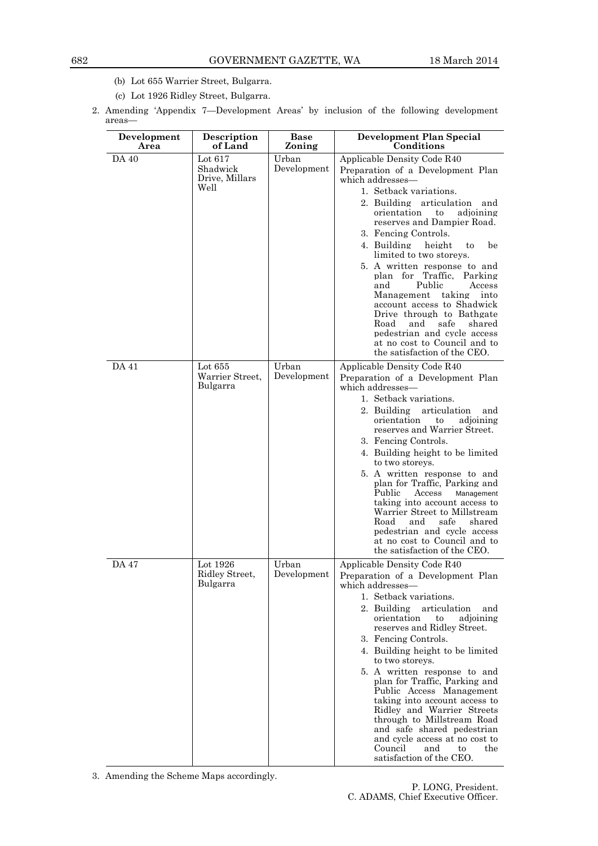- (b) Lot 655 Warrier Street, Bulgarra.
- (c) Lot 1926 Ridley Street, Bulgarra.
- 2. Amending 'Appendix 7—Development Areas' by inclusion of the following development areas—

| Development<br>Area | Description<br>of Land                          | Base<br>Zoning       | Development Plan Special<br>Conditions                                                                                                                                                                                                                                                                                                                                                                                                                                                                                                                                                                                              |
|---------------------|-------------------------------------------------|----------------------|-------------------------------------------------------------------------------------------------------------------------------------------------------------------------------------------------------------------------------------------------------------------------------------------------------------------------------------------------------------------------------------------------------------------------------------------------------------------------------------------------------------------------------------------------------------------------------------------------------------------------------------|
| DA 40               | Lot $617$<br>Shadwick<br>Drive, Millars<br>Well | Urban<br>Development | Applicable Density Code R40<br>Preparation of a Development Plan<br>which addresses-<br>1. Setback variations.<br>2. Building articulation<br>and<br>orientation<br>$\mathbf{t}$<br>adjoining<br>reserves and Dampier Road.<br>3. Fencing Controls.<br>4. Building<br>height<br>to<br>be<br>limited to two storeys.<br>5. A written response to and<br>plan for Traffic, Parking<br>Public<br>and<br>Access<br>Management taking<br>into<br>account access to Shadwick<br>Drive through to Bathgate<br>and<br>safe<br>shared<br>Road<br>pedestrian and cycle access<br>at no cost to Council and to<br>the satisfaction of the CEO. |
| DA 41               | Lot $655$<br>Warrier Street,<br>Bulgarra        | Urban<br>Development | Applicable Density Code R40<br>Preparation of a Development Plan<br>which addresses—<br>1. Setback variations.<br>2. Building articulation<br>and<br>orientation<br>to<br>adioining<br>reserves and Warrier Street.<br>3. Fencing Controls.<br>4. Building height to be limited<br>to two storeys.<br>5. A written response to and<br>plan for Traffic, Parking and<br>Public<br>Access<br>Management<br>taking into account access to<br>Warrier Street to Millstream<br>safe<br>shared<br>Road<br>and<br>pedestrian and cycle access<br>at no cost to Council and to<br>the satisfaction of the CEO.                              |
| <b>DA 47</b>        | Lot 1926<br>Ridley Street,<br>Bulgarra          | Urban<br>Development | Applicable Density Code R40<br>Preparation of a Development Plan<br>which addresses-<br>1. Setback variations.<br>2. Building<br>articulation<br>and<br>orientation<br>adjoining<br>to<br>reserves and Ridley Street.<br>3. Fencing Controls.<br>4. Building height to be limited<br>to two storeys.<br>5. A written response to and<br>plan for Traffic, Parking and<br>Public Access Management<br>taking into account access to<br>Ridley and Warrier Streets<br>through to Millstream Road<br>and safe shared pedestrian<br>and cycle access at no cost to<br>Council<br>and<br>the<br>to<br>satisfaction of the CEO.           |

3. Amending the Scheme Maps accordingly.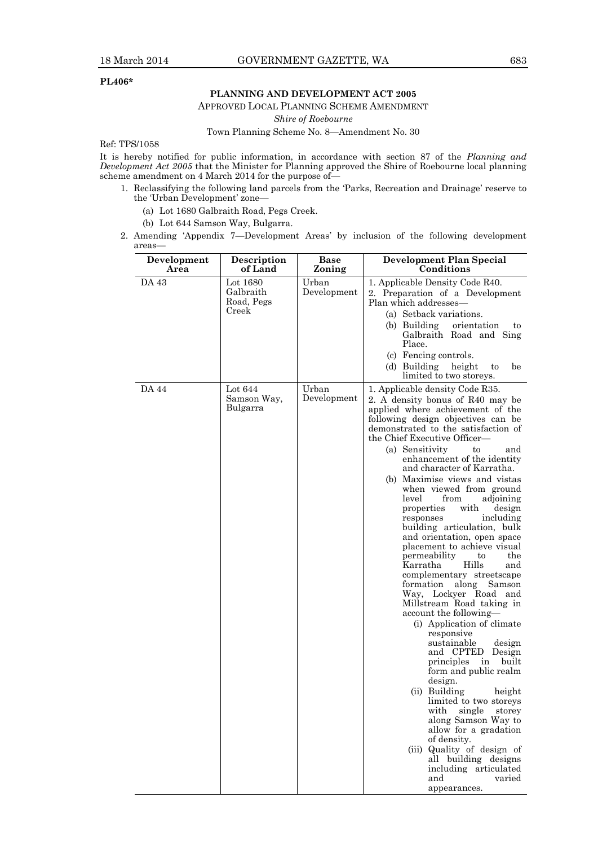#### **PL406\***

#### **PLANNING AND DEVELOPMENT ACT 2005**

APPROVED LOCAL PLANNING SCHEME AMENDMENT

*Shire of Roebourne*

Town Planning Scheme No. 8—Amendment No. 30

Ref: TPS/1058

It is hereby notified for public information, in accordance with section 87 of the *Planning and Development Act 2005* that the Minister for Planning approved the Shire of Roebourne local planning scheme amendment on 4 March 2014 for the purpose of—

- 1. Reclassifying the following land parcels from the 'Parks, Recreation and Drainage' reserve to the 'Urban Development' zone—
	- (a) Lot 1680 Galbraith Road, Pegs Creek.
	- (b) Lot 644 Samson Way, Bulgarra.
- 2. Amending 'Appendix 7—Development Areas' by inclusion of the following development areas—

| Development<br>Area | <b>Description</b><br>of Land                | <b>Base</b><br>Zoning | Development Plan Special<br>Conditions                                                                                                                                                                                                                                                                                                                                                                                                                                                                                                                                                                                                                                                                                                                                                                                                                                                                                                                                                                                                                                                                                                                                                             |
|---------------------|----------------------------------------------|-----------------------|----------------------------------------------------------------------------------------------------------------------------------------------------------------------------------------------------------------------------------------------------------------------------------------------------------------------------------------------------------------------------------------------------------------------------------------------------------------------------------------------------------------------------------------------------------------------------------------------------------------------------------------------------------------------------------------------------------------------------------------------------------------------------------------------------------------------------------------------------------------------------------------------------------------------------------------------------------------------------------------------------------------------------------------------------------------------------------------------------------------------------------------------------------------------------------------------------|
| DA 43               | Lot 1680<br>Galbraith<br>Road, Pegs<br>Creek | Urban<br>Development  | 1. Applicable Density Code R40.<br>2. Preparation of a Development<br>Plan which addresses-<br>(a) Setback variations.<br>(b) Building<br>orientation<br>to<br>Galbraith Road and Sing<br>Place.<br>(c) Fencing controls.<br>(d) Building<br>height<br>be<br>to<br>limited to two storeys.                                                                                                                                                                                                                                                                                                                                                                                                                                                                                                                                                                                                                                                                                                                                                                                                                                                                                                         |
| <b>DA 44</b>        | Lot 644<br>Samson Way,<br>Bulgarra           | Urban<br>Development  | 1. Applicable density Code R35.<br>2. A density bonus of R40 may be<br>applied where achievement of the<br>following design objectives can be<br>demonstrated to the satisfaction of<br>the Chief Executive Officer—<br>(a) Sensitivity<br>to<br>and<br>enhancement of the identity<br>and character of Karratha.<br>(b) Maximise views and vistas<br>when viewed from ground<br>level<br>from<br>adjoining<br>properties<br>with<br>design<br>responses<br>including<br>building articulation, bulk<br>and orientation, open space<br>placement to achieve visual<br>permeability<br>the<br>to<br>Hills<br>Karratha<br>and<br>complementary streetscape<br>formation<br>along<br>Samson<br>Way, Lockyer Road and<br>Millstream Road taking in<br>account the following-<br>(i) Application of climate<br>responsive<br>sustainable<br>design<br>and CPTED<br>Design<br>built<br>principles<br>in<br>form and public realm<br>design.<br>(ii) Building<br>height<br>limited to two storeys<br>with single<br>storey<br>along Samson Way to<br>allow for a gradation<br>of density.<br>(iii) Quality of design of<br>all building designs<br>including articulated<br>and<br>varied<br>appearances. |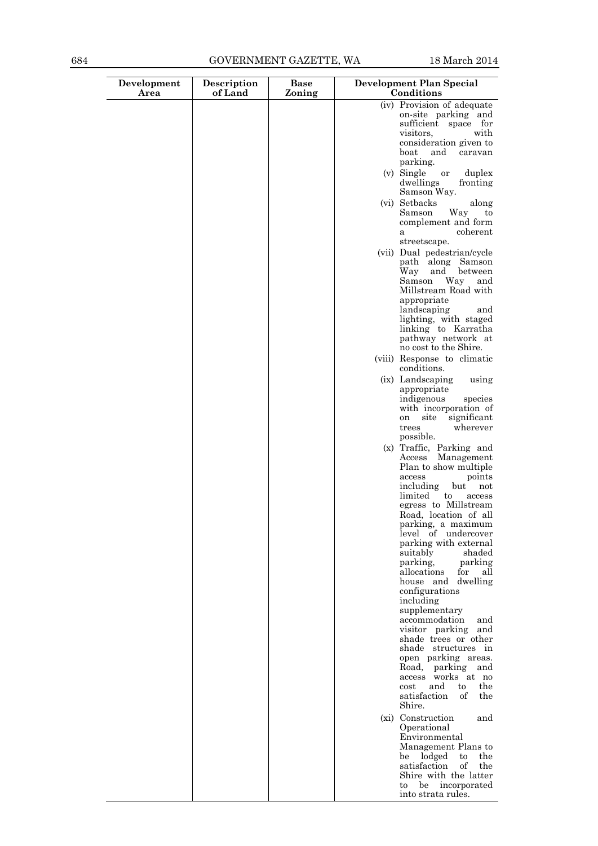| Development<br>Area | Description<br>of Land | <b>Base</b><br>Zoning | Development Plan Special<br>Conditions                                                                                                                                                                                                          |
|---------------------|------------------------|-----------------------|-------------------------------------------------------------------------------------------------------------------------------------------------------------------------------------------------------------------------------------------------|
|                     |                        |                       | (iv) Provision of adequate<br>on-site parking and<br>sufficient space for<br>visitors,<br>with<br>consideration given to                                                                                                                        |
|                     |                        |                       | and<br>boat<br>caravan<br>parking.<br>(v) Single<br>duplex<br>or                                                                                                                                                                                |
|                     |                        |                       | dwellings<br>fronting<br>Samson Way.<br>(vi) Setbacks<br>along                                                                                                                                                                                  |
|                     |                        |                       | Samson<br>Way<br>to<br>complement and form<br>coherent<br>a<br>streetscape.                                                                                                                                                                     |
|                     |                        |                       | (vii) Dual pedestrian/cycle<br>path along Samson<br>Way<br>and<br>between<br>Way<br>Samson<br>and<br>Millstream Road with<br>appropriate<br>landscaping<br>and                                                                                  |
|                     |                        |                       | lighting, with staged<br>linking to Karratha<br>pathway network at<br>no cost to the Shire.                                                                                                                                                     |
|                     |                        |                       | (viii) Response to climatic<br>conditions.                                                                                                                                                                                                      |
|                     |                        |                       | (ix) Landscaping<br>using<br>appropriate<br>indigenous<br>species<br>with incorporation of<br>site<br>significant<br><sub>on</sub><br>wherever<br>trees                                                                                         |
|                     |                        |                       | possible.<br>(x) Traffic, Parking and<br>Management<br>Access<br>Plan to show multiple                                                                                                                                                          |
|                     |                        |                       | access<br>points<br>including<br>but<br>not<br>limited<br>to<br>access<br>egress to Millstream<br>Road, location of all<br>parking, a maximum<br>level of undercover<br>parking with external                                                   |
|                     |                        |                       | suitably<br>shaded<br>parking,<br>parking<br>allocations<br>for<br>all<br>house and dwelling<br>configurations<br>including<br>supplementary                                                                                                    |
|                     |                        |                       | accommodation<br>and<br>visitor parking and<br>shade trees or other<br>shade structures in<br>open parking areas.<br>Road, parking and<br>access works at no<br>and<br>$\mathbf{t}$<br>the<br>$\rm cost$<br>satisfaction<br>of<br>the<br>Shire. |
|                     |                        |                       | (xi) Construction<br>and<br>Operational<br>Environmental<br>Management Plans to<br>be lodged<br>$_{\rm the}$<br>to<br>satisfaction<br>οf<br>the<br>Shire with the latter<br>be incorporated<br>to<br>into strata rules.                         |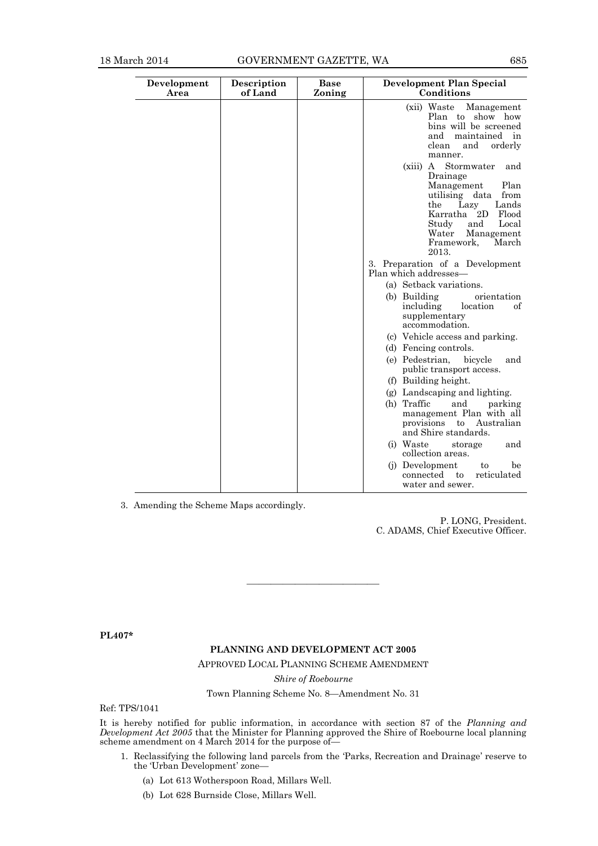| Development<br>Area | Description<br>of Land | <b>Base</b><br>Zoning | <b>Development Plan Special</b><br>Conditions                                                                                                                                                                                   |
|---------------------|------------------------|-----------------------|---------------------------------------------------------------------------------------------------------------------------------------------------------------------------------------------------------------------------------|
|                     |                        |                       | (xii) Waste<br>Management<br>Plan to show how<br>bins will be screened<br>and<br>maintained in<br>clean<br>and<br>orderly<br>manner.                                                                                            |
|                     |                        |                       | Stormwater<br>(xiii)<br>A<br>and<br>Drainage<br>Plan<br>Management<br>utilising data<br>from<br>Lands<br>Lazy<br>the<br>Karratha<br>2D<br>Flood<br>Study<br>and<br>Local<br>Water<br>Management<br>March<br>Framework,<br>2013. |
|                     |                        |                       | 3. Preparation of a Development<br>Plan which addresses—                                                                                                                                                                        |
|                     |                        |                       | (a) Setback variations.                                                                                                                                                                                                         |
|                     |                        |                       | (b) Building<br>orientation<br>including<br>location<br>οf<br>supplementary<br>accommodation.                                                                                                                                   |
|                     |                        |                       | (c) Vehicle access and parking.                                                                                                                                                                                                 |
|                     |                        |                       | (d) Fencing controls.<br>(e) Pedestrian,<br>bicycle<br>and<br>public transport access.                                                                                                                                          |
|                     |                        |                       | (f) Building height.                                                                                                                                                                                                            |
|                     |                        |                       | (g) Landscaping and lighting.                                                                                                                                                                                                   |
|                     |                        |                       | (h) Traffic<br>and<br>parking<br>management Plan with all<br>provisions<br>to<br>Australian<br>and Shire standards.                                                                                                             |
|                     |                        |                       | (i) Waste<br>storage<br>and<br>collection areas.                                                                                                                                                                                |
|                     |                        |                       | (j) Development<br>be<br>to<br>connected<br>reticulated<br>to<br>water and sewer.                                                                                                                                               |

3. Amending the Scheme Maps accordingly.

P. LONG, President. C. ADAMS, Chief Executive Officer.

**PL407\***

#### **PLANNING AND DEVELOPMENT ACT 2005**

———————————

APPROVED LOCAL PLANNING SCHEME AMENDMENT

*Shire of Roebourne*

Town Planning Scheme No. 8—Amendment No. 31

Ref: TPS/1041

It is hereby notified for public information, in accordance with section 87 of the *Planning and Development Act 2005* that the Minister for Planning approved the Shire of Roebourne local planning scheme amendment on 4 March 2014 for the purpose of

- 1. Reclassifying the following land parcels from the 'Parks, Recreation and Drainage' reserve to the 'Urban Development' zone—
	- (a) Lot 613 Wotherspoon Road, Millars Well.
	- (b) Lot 628 Burnside Close, Millars Well.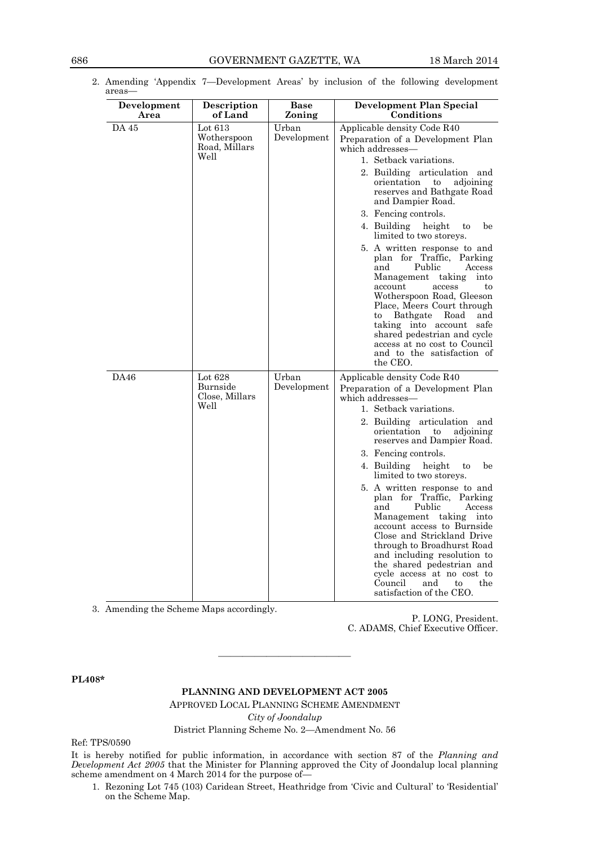| Development<br>Area | Description<br>of Land                            | <b>Base</b><br>Zoning | <b>Development Plan Special</b><br>Conditions                                                                                                                                                                                                                                                                                                                                                                                                                                                                                                                                                                                                                                                                |
|---------------------|---------------------------------------------------|-----------------------|--------------------------------------------------------------------------------------------------------------------------------------------------------------------------------------------------------------------------------------------------------------------------------------------------------------------------------------------------------------------------------------------------------------------------------------------------------------------------------------------------------------------------------------------------------------------------------------------------------------------------------------------------------------------------------------------------------------|
| DA 45               | Lot $613$<br>Wotherspoon<br>Road, Millars<br>Well | Urban<br>Development  | Applicable density Code R40<br>Preparation of a Development Plan<br>which addresses-<br>1. Setback variations.<br>2. Building articulation and<br>orientation<br>to<br>adjoining<br>reserves and Bathgate Road<br>and Dampier Road.<br>3. Fencing controls.<br>4. Building<br>height<br>be<br>to<br>limited to two storeys.<br>5. A written response to and<br>plan for Traffic, Parking<br>Public<br>and<br>Access<br>Management taking<br>into<br>account<br>access<br>to<br>Wotherspoon Road, Gleeson<br>Place, Meers Court through<br>Bathgate Road<br>and<br>to<br>taking into account<br>safe<br>shared pedestrian and cycle<br>access at no cost to Council<br>and to the satisfaction of<br>the CEO. |
| DA46                | Lot $628$<br>Burnside<br>Close, Millars<br>Well   | Urban<br>Development  | Applicable density Code R40<br>Preparation of a Development Plan<br>which addresses-<br>1. Setback variations.<br>2. Building articulation and<br>orientation to<br>adjoining<br>reserves and Dampier Road.<br>3. Fencing controls.<br>be<br>4. Building height<br>to<br>limited to two storeys.<br>5. A written response to and<br>plan for Traffic, Parking<br>Public<br>and<br>Access<br>Management taking into<br>account access to Burnside<br>Close and Strickland Drive<br>through to Broadhurst Road<br>and including resolution to<br>the shared pedestrian and<br>cycle access at no cost to<br>Council<br>and<br>to<br>the<br>satisfaction of the CEO.                                            |

2. Amending 'Appendix 7—Development Areas' by inclusion of the following development areas—

3. Amending the Scheme Maps accordingly.

P. LONG, President. C. ADAMS, Chief Executive Officer.

**PL408\***

#### **PLANNING AND DEVELOPMENT ACT 2005**

————————————————————

APPROVED LOCAL PLANNING SCHEME AMENDMENT *City of Joondalup*

District Planning Scheme No. 2—Amendment No. 56

Ref: TPS/0590

It is hereby notified for public information, in accordance with section 87 of the *Planning and Development Act 2005* that the Minister for Planning approved the City of Joondalup local planning scheme amendment on 4 March 2014 for the purpose of—

1. Rezoning Lot 745 (103) Caridean Street, Heathridge from 'Civic and Cultural' to 'Residential' on the Scheme Map.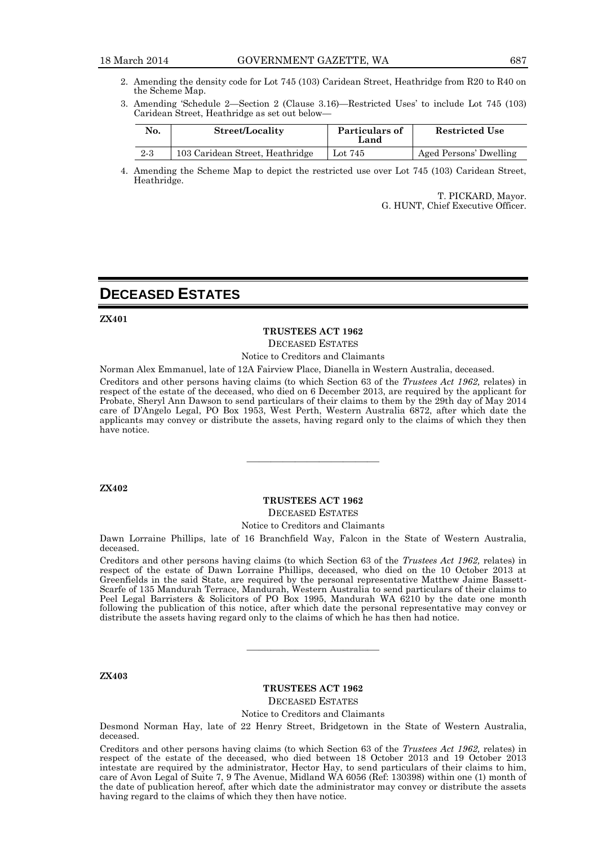- 2. Amending the density code for Lot 745 (103) Caridean Street, Heathridge from R20 to R40 on the Scheme Map.
- 3. Amending 'Schedule 2—Section 2 (Clause 3.16)—Restricted Uses' to include Lot 745 (103) Caridean Street, Heathridge as set out below—

| No.     | Street/Locality                 | Particulars of<br>Land | <b>Restricted Use</b>  |
|---------|---------------------------------|------------------------|------------------------|
| $2 - 3$ | 103 Caridean Street, Heathridge | Lot $745$              | Aged Persons' Dwelling |

4. Amending the Scheme Map to depict the restricted use over Lot 745 (103) Caridean Street, Heathridge.

> T. PICKARD, Mayor. G. HUNT, Chief Executive Officer.

## **DECEASED ESTATES**

**ZX401**

#### **TRUSTEES ACT 1962**

DECEASED ESTATES

#### Notice to Creditors and Claimants

Norman Alex Emmanuel, late of 12A Fairview Place, Dianella in Western Australia, deceased.

Creditors and other persons having claims (to which Section 63 of the *Trustees Act 1962,* relates) in respect of the estate of the deceased, who died on 6 December 2013, are required by the applicant for Probate, Sheryl Ann Dawson to send particulars of their claims to them by the 29th day of May 2014 care of D'Angelo Legal, PO Box 1953, West Perth, Western Australia 6872, after which date the applicants may convey or distribute the assets, having regard only to the claims of which they then have notice.

#### **ZX402**

#### **TRUSTEES ACT 1962**

———————————

DECEASED ESTATES

#### Notice to Creditors and Claimants

Dawn Lorraine Phillips, late of 16 Branchfield Way, Falcon in the State of Western Australia, deceased.

Creditors and other persons having claims (to which Section 63 of the *Trustees Act 1962,* relates) in respect of the estate of Dawn Lorraine Phillips, deceased, who died on the 10 October 2013 at Greenfields in the said State, are required by the personal representative Matthew Jaime Bassett-Scarfe of 135 Mandurah Terrace, Mandurah, Western Australia to send particulars of their claims to Peel Legal Barristers & Solicitors of PO Box 1995, Mandurah WA 6210 by the date one month following the publication of this notice, after which date the personal representative may convey or distribute the assets having regard only to the claims of which he has then had notice.

#### **ZX403**

#### **TRUSTEES ACT 1962** DECEASED ESTATES

———————————

Notice to Creditors and Claimants

Desmond Norman Hay, late of 22 Henry Street, Bridgetown in the State of Western Australia, deceased.

Creditors and other persons having claims (to which Section 63 of the *Trustees Act 1962,* relates) in respect of the estate of the deceased, who died between 18 October 2013 and 19 October 2013 intestate are required by the administrator, Hector Hay, to send particulars of their claims to him, care of Avon Legal of Suite 7, 9 The Avenue, Midland WA 6056 (Ref: 130398) within one (1) month of the date of publication hereof, after which date the administrator may convey or distribute the assets having regard to the claims of which they then have notice.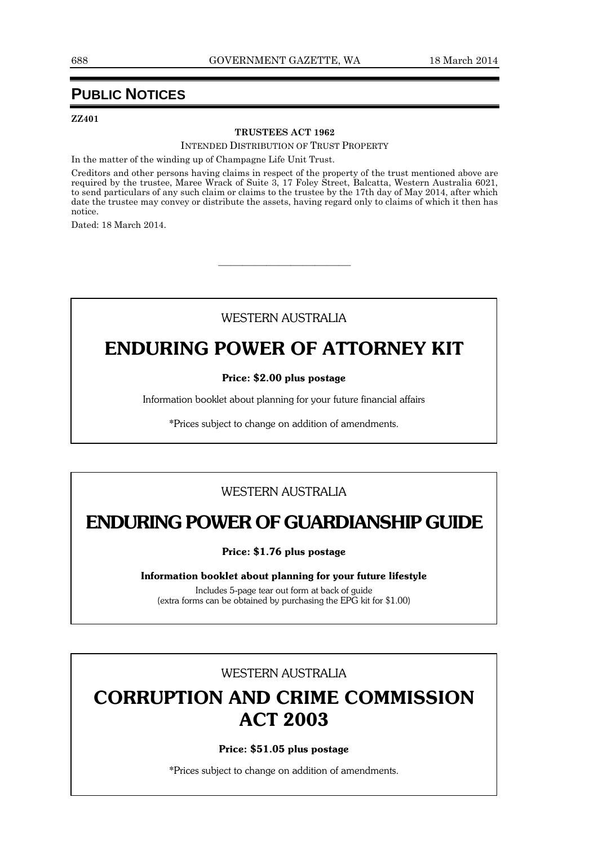## **PUBLIC NOTICES**

#### **ZZ401**

#### **TRUSTEES ACT 1962**

INTENDED DISTRIBUTION OF TRUST PROPERTY

In the matter of the winding up of Champagne Life Unit Trust.

Creditors and other persons having claims in respect of the property of the trust mentioned above are required by the trustee, Maree Wrack of Suite 3, 17 Foley Street, Balcatta, Western Australia 6021, to send particulars of any such claim or claims to the trustee by the 17th day of May 2014, after which date the trustee may convey or distribute the assets, having regard only to claims of which it then has notice.

Dated: 18 March 2014.

### WESTERN AUSTRALIA

 $\frac{1}{\sqrt{2}}$  ,  $\frac{1}{\sqrt{2}}$  ,  $\frac{1}{\sqrt{2}}$  ,  $\frac{1}{\sqrt{2}}$  ,  $\frac{1}{\sqrt{2}}$  ,  $\frac{1}{\sqrt{2}}$  ,  $\frac{1}{\sqrt{2}}$  ,  $\frac{1}{\sqrt{2}}$  ,  $\frac{1}{\sqrt{2}}$  ,  $\frac{1}{\sqrt{2}}$  ,  $\frac{1}{\sqrt{2}}$  ,  $\frac{1}{\sqrt{2}}$  ,  $\frac{1}{\sqrt{2}}$  ,  $\frac{1}{\sqrt{2}}$  ,  $\frac{1}{\sqrt{2}}$ 

## **ENDURING POWER OF ATTORNEY KIT**

#### **Price: \$2.00 plus postage**

Information booklet about planning for your future financial affairs

\*Prices subject to change on addition of amendments.

### WESTERN AUSTRALIA

## **ENDURING POWER OF GUARDIANSHIP GUIDE**

**Price: \$1.76 plus postage**

**Information booklet about planning for your future lifestyle**

Includes 5-page tear out form at back of guide (extra forms can be obtained by purchasing the EPG kit for \$1.00)

#### WESTERN AUSTRALIA

## **CORRUPTION AND CRIME COMMISSION ACT 2003**

#### **Price: \$51.05 plus postage**

\*Prices subject to change on addition of amendments.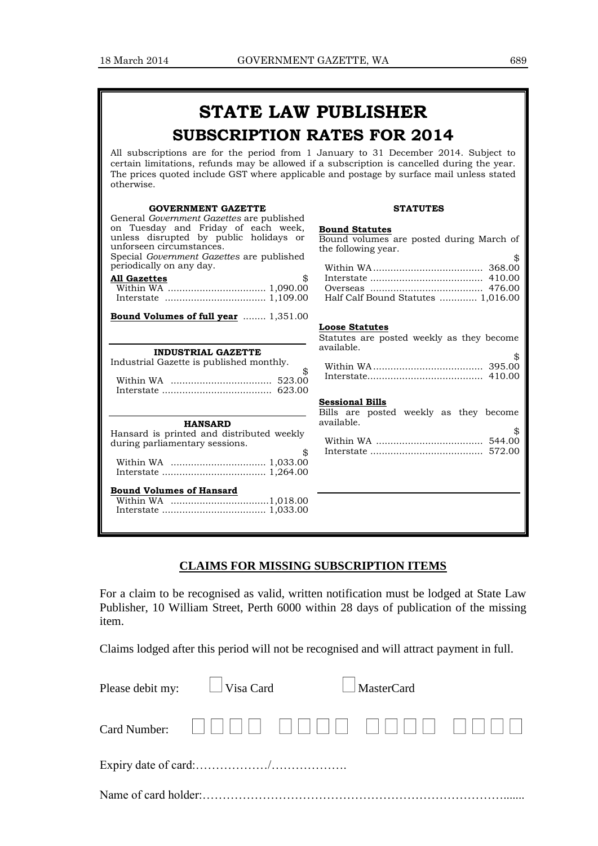## **STATE LAW PUBLISHER SUBSCRIPTION RATES FOR 2014**

All subscriptions are for the period from 1 January to 31 December 2014. Subject to certain limitations, refunds may be allowed if a subscription is cancelled during the year. The prices quoted include GST where applicable and postage by surface mail unless stated otherwise.

| <b>GOVERNMENT GAZETTE</b><br>General <i>Government Gazettes</i> are published                                                                                                                                   | <b>STATUTES</b>                                                                                                                                            |
|-----------------------------------------------------------------------------------------------------------------------------------------------------------------------------------------------------------------|------------------------------------------------------------------------------------------------------------------------------------------------------------|
| on Tuesday and Friday of each week,<br>unless disrupted by public holidays or<br>unforseen circumstances.<br>Special Government Gazettes are published<br>periodically on any day.<br>\$<br><b>All Gazettes</b> | <b>Bound Statutes</b><br>Bound volumes are posted during March of<br>the following year.<br>\$<br>Half Calf Bound Statutes  1,016.00                       |
| <b>Bound Volumes of full year</b> 1,351.00                                                                                                                                                                      |                                                                                                                                                            |
| <b>INDUSTRIAL GAZETTE</b><br>Industrial Gazette is published monthly.<br>\$                                                                                                                                     | <b>Loose Statutes</b><br>Statutes are posted weekly as they become<br>available.<br>\$<br><b>Sessional Bills</b><br>Bills are posted weekly as they become |
| <b>HANSARD</b><br>Hansard is printed and distributed weekly<br>during parliamentary sessions.<br>\$<br><b>Bound Volumes of Hansard</b>                                                                          | available.<br>\$                                                                                                                                           |

### **CLAIMS FOR MISSING SUBSCRIPTION ITEMS**

For a claim to be recognised as valid, written notification must be lodged at State Law Publisher, 10 William Street, Perth 6000 within 28 days of publication of the missing item.

Claims lodged after this period will not be recognised and will attract payment in full.

| Please debit my: $\Box$ Visa Card | $\Box$ MasterCard |  |
|-----------------------------------|-------------------|--|
|                                   |                   |  |
|                                   |                   |  |
|                                   |                   |  |